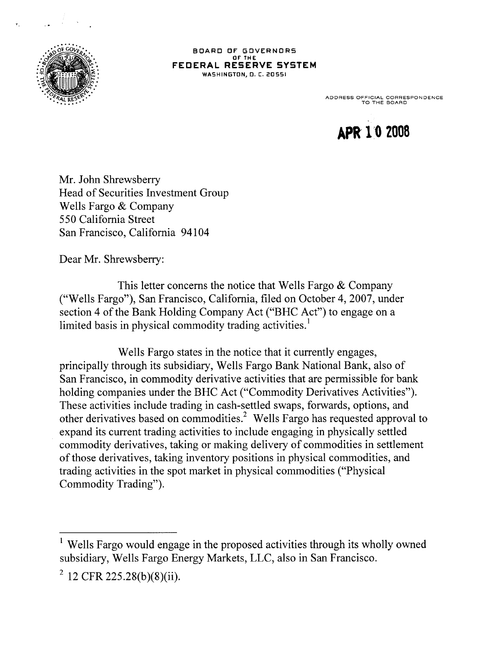

BOARD OF GOVERNORS OF THE FEDERAL RESERVE SYSTEM **WASHINGTON, D. C. 20551** 

ADDRESS OFFICIAL CORRESPONDENCE TO THE BOARD

**APR 1 0 2008**

Mr. John Shrewsberry Head of Securities Investment Group Wells Fargo & Company 550 California Street San Francisco, California 94104

Dear Mr. Shrewsberry:

This letter concerns the notice that Wells Fargo & Company ("Wells Fargo"), San Francisco, California, filed on October 4, 2007, under section 4 of the Bank Holding Company Act ("BHC Act") to engage on a limited basis in physical commodity trading activities.<sup>1</sup>

Wells Fargo states in the notice that it currently engages, principally through its subsidiary, Wells Fargo Bank National Bank, also of San Francisco, in commodity derivative activities that are permissible for bank holding companies under the BHC Act ("Commodity Derivatives Activities"). These activities include trading in cash-settled swaps, forwards, options, and other derivatives based on commodities.<sup>2</sup> Wells Fargo has requested approval to expand its current trading activities to include engaging in physically settled commodity derivatives, taking or making delivery of commodities in settlement of those derivatives, taking inventory positions in physical commodities, and trading activities in the spot market in physical commodities ("Physical Commodity Trading").

<sup>&</sup>lt;sup>1</sup> Wells Fargo would engage in the proposed activities through its wholly owned subsidiary, Wells Fargo Energy Markets, LLC, also in San Francisco.

 $2^{2}$  12 CFR 225.28(b)(8)(ii).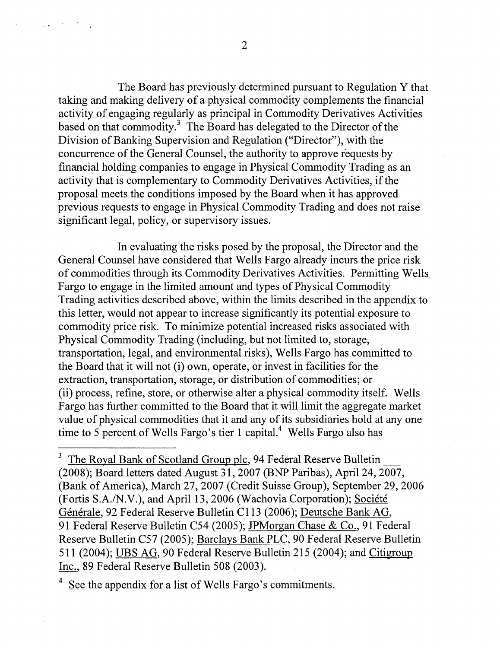The Board has previously determined pursuant to Regulation Y that taking and making delivery of a physical commodity complements the financial activity of engaging regularly as principal in Commodity Derivatives Activities based on that commodity. The Board has delegated to the Director of the Division of Banking Supervision and Regulation ("Director"), with the concurrence of the General Counsel, the authority to approve requests by financial holding companies to engage in Physical Commodity Trading as an activity that is complementary to Commodity Derivatives Activities, if the proposal meets the conditions imposed by the Board when it has approved previous requests to engage in Physical Commodity Trading and does not raise significant legal, policy, or supervisory issues.

In evaluating the risks posed by the proposal, the Director and the General Counsel have considered that Wells Fargo already incurs the price risk of commodities through its Commodity Derivatives Activities. Permitting Wells Fargo to engage in the limited amount and types of Physical Commodity Trading activities described above, within the limits described in the appendix to this letter, would not appear to increase significantly its potential exposure to commodity price risk. To minimize potential increased risks associated with Physical Commodity Trading (including, but not limited to, storage, transportation, legal, and environmental risks), Wells Fargo has committed to the Board that it will not (i) own, operate, or invest in facilities for the extraction, transportation, storage, or distribution of commodities; or (ii) process, refine, store, or otherwise alter a physical commodity itself. Wells Fargo has further committed to the Board that it will limit the aggregate market value of physical commodities that it and any of its subsidiaries hold at any one time to 5 percent of Wells Fargo's tier 1 capital.<sup>4</sup> Wells Fargo also has

4 See the appendix for a list of Wells Fargo's commitments.

The Royal Bank of Scotland Group plc, 94 Federal Reserve Bulletin (2008); Board letters dated August 31, 2007 (BNP Paribas), April 24, 2007, (Bank of America), March 27, 2007 (Credit Suisse Group), September 29, 2006 (Fortis S.A./N.V.), and April 13, 2006 (Wachovia Corporation); Société Générale, 92 Federal Reserve Bulletin C113 (2006); Deutsche Bank AG, 91 Federal Reserve Bulletin C54 (2005); JPMorgan Chase & Co.. 91 Federal Reserve Bulletin C57 (2005); Barclays Bank PLC, 90 Federal Reserve Bulletin 511 (2004); UBS AG, 90 Federal Reserve Bulletin 215 (2004); and Citigroup Inc., 89 Federal Reserve Bulletin 508 (2003).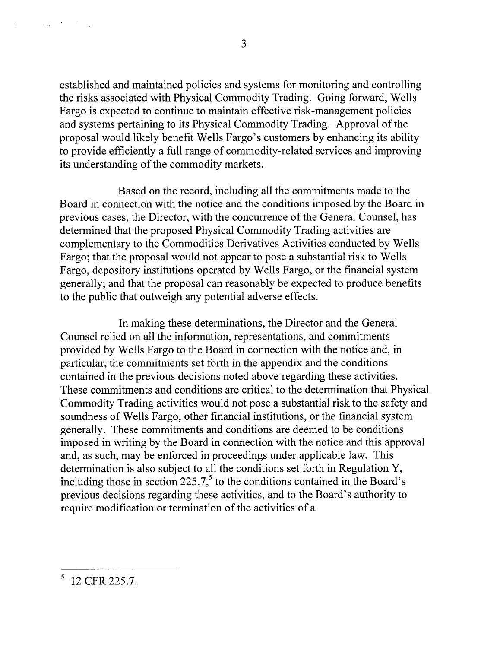3

established and maintained policies and systems for monitoring and controlling the risks associated with Physical Commodity Trading. Going forward, Wells Fargo is expected to continue to maintain effective risk-management policies and systems pertaining to its Physical Commodity Trading. Approval of the proposal would likely benefit Wells Fargo's customers by enhancing its ability to provide efficiently a full range of commodity-related services and improving its understanding of the commodity markets.

Based on the record, including all the commitments made to the Board in connection with the notice and the conditions imposed by the Board in previous cases, the Director, with the concurrence of the General Counsel, has determined that the proposed Physical Commodity Trading activities are complementary to the Commodities Derivatives Activities conducted by Wells Fargo; that the proposal would not appear to pose a substantial risk to Wells Fargo, depository institutions operated by Wells Fargo, or the financial system generally; and that the proposal can reasonably be expected to produce benefits to the public that outweigh any potential adverse effects.

In making these determinations, the Director and the General Counsel relied on all the information, representations, and commitments provided by Wells Fargo to the Board in connection with the notice and, in particular, the commitments set forth in the appendix and the conditions contained in the previous decisions noted above regarding these activities. These commitments and conditions are critical to the determination that Physical Commodity Trading activities would not pose a substantial risk to the safety and soundness of Wells Fargo, other financial institutions, or the financial system generally. These commitments and conditions are deemed to be conditions imposed in writing by the Board in connection with the notice and this approval and, as such, may be enforced in proceedings under applicable law. This determination is also subject to all the conditions set forth in Regulation Y, including those in section 225.7,<sup>5</sup> to the conditions contained in the Board's previous decisions regarding these activities, and to the Board's authority to require modification or termination of the activities of a

 $\mathcal{A}(\mathbf{x}) = \mathcal{A}(\mathbf{x})$  , where  $\mathcal{A}(\mathbf{x})$ 

 $5$  12 CFR 225.7.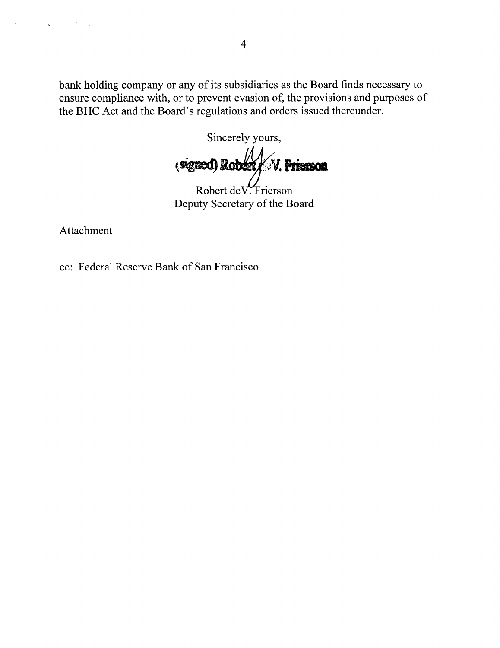bank holding company or any of its subsidiaries as the Board finds necessary to ensure compliance with, or to prevent evasion of, the provisions and purposes of the BHC Act and the Board's regulations and orders issued thereunder.

Sincerely yours, V. Prierson (signed) Robert

Robert de V. Frierson Deputy Secretary of the Board

Attachment

 $\mathcal{L}_{\text{max}}$  and  $\mathcal{L}_{\text{max}}$  . We see Eq.

 $\mathcal{H}_\mathrm{L}$  and  $\mathcal{H}_\mathrm{R}$ 

cc: Federal Reserve Bank of San Francisco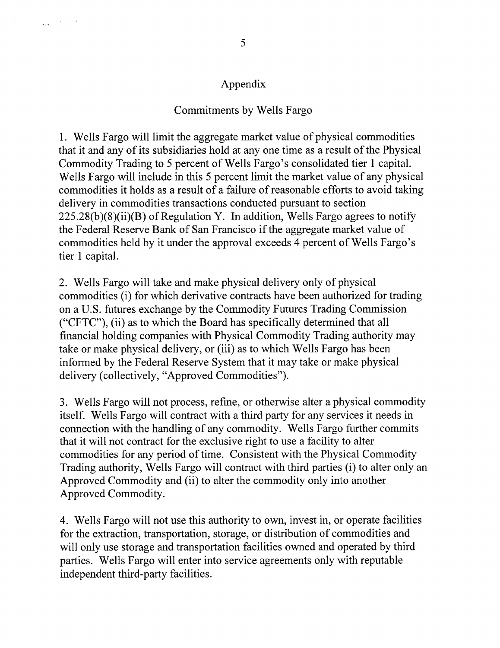## Appendix

## Commitments by Wells Fargo

1. Wells Fargo will limit the aggregate market value of physical commodities that it and any of its subsidiaries hold at any one time as a result of the Physical Commodity Trading to 5 percent of Wells Fargo's consolidated tier 1 capital. Wells Fargo will include in this 5 percent limit the market value of any physical commodities it holds as a result of a failure of reasonable efforts to avoid taking delivery in commodities transactions conducted pursuant to section  $225.28(b)(8)(ii)(B)$  of Regulation Y. In addition, Wells Fargo agrees to notify the Federal Reserve Bank of San Francisco if the aggregate market value of commodities held by it under the approval exceeds 4 percent of Wells Fargo's tier 1 capital.

2. Wells Fargo will take and make physical delivery only of physical commodities (i) for which derivative contracts have been authorized for trading on a U.S. futures exchange by the Commodity Futures Trading Commission ("CFTC"), (ii) as to which the Board has specifically determined that all financial holding companies with Physical Commodity Trading authority may take or make physical delivery, or (iii) as to which Wells Fargo has been informed by the Federal Reserve System that it may take or make physical delivery (collectively, "Approved Commodities").

3. Wells Fargo will not process, refine, or otherwise alter a physical commodity itself. Wells Fargo will contract with a third party for any services it needs in connection with the handling of any commodity. Wells Fargo further commits that it will not contract for the exclusive right to use a facility to alter commodities for any period of time. Consistent with the Physical Commodity Trading authority, Wells Fargo will contract with third parties (i) to alter only an Approved Commodity and (ii) to alter the commodity only into another Approved Commodity.

4. Wells Fargo will not use this authority to own, invest in, or operate facilities for the extraction, transportation, storage, or distribution of commodities and will only use storage and transportation facilities owned and operated by third parties. Wells Fargo will enter into service agreements only with reputable independent third-party facilities.

 $\mathcal{L}(\mathbf{x}) = \mathcal{L}(\mathbf{x})$  , where  $\mathcal{L}(\mathbf{x})$